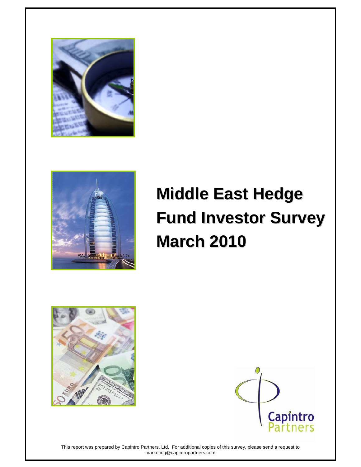



# **Middle East Hedge Fund Investor Survey Fund Investor Survey March 2010 March 2010**





This report was prepared by Capintro Partners, Ltd. For additional copies of this survey, please send a request to marketing@capintropartners.com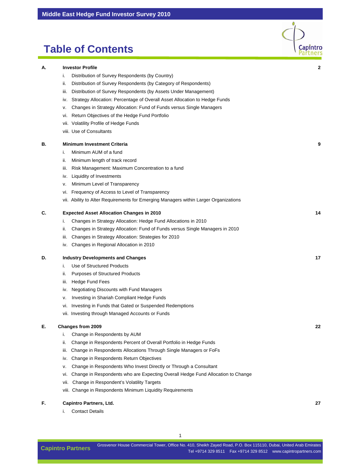### **Table of Contents**

|    |                                                                                      | $r$ and $r$ |
|----|--------------------------------------------------------------------------------------|-------------|
| А. | <b>Investor Profile</b>                                                              | 2           |
|    | Distribution of Survey Respondents (by Country)<br>i.                                |             |
|    | Distribution of Survey Respondents (by Category of Respondents)<br>ii.               |             |
|    | Distribution of Survey Respondents (by Assets Under Management)<br>iii.              |             |
|    | Strategy Allocation: Percentage of Overall Asset Allocation to Hedge Funds<br>IV.    |             |
|    | Changes in Strategy Allocation: Fund of Funds versus Single Managers<br>ν.           |             |
|    | Return Objectives of the Hedge Fund Portfolio<br>VI.                                 |             |
|    | vii. Volatility Profile of Hedge Funds                                               |             |
|    | viii. Use of Consultants                                                             |             |
| В. | <b>Minimum Investment Criteria</b>                                                   | 9           |
|    | Minimum AUM of a fund<br>i.                                                          |             |
|    | Minimum length of track record<br>ii.                                                |             |
|    | Risk Management: Maximum Concentration to a fund<br>iii.                             |             |
|    | Liquidity of Investments<br>İV.                                                      |             |
|    | Minimum Level of Transparency<br>v.                                                  |             |
|    | Frequency of Access to Level of Transparency<br>vi.                                  |             |
|    | vii. Ability to Alter Requirements for Emerging Managers within Larger Organizations |             |
| С. | <b>Expected Asset Allocation Changes in 2010</b>                                     | 14          |
|    | Changes in Strategy Allocation: Hedge Fund Allocations in 2010<br>i.                 |             |
|    | Changes in Strategy Allocation: Fund of Funds versus Single Managers in 2010<br>ii.  |             |
|    | Changes in Strategy Allocation: Strategies for 2010<br>iii.                          |             |
|    | Changes in Regional Allocation in 2010<br>iv.                                        |             |
| D. | <b>Industry Developments and Changes</b>                                             | 17          |
|    | Use of Structured Products<br>i.                                                     |             |
|    | <b>Purposes of Structured Products</b><br>ii.                                        |             |
|    | <b>Hedge Fund Fees</b><br>iii.                                                       |             |
|    | <b>Negotiating Discounts with Fund Managers</b><br>IV.                               |             |
|    | Investing in Shariah Compliant Hedge Funds<br>ν.                                     |             |
|    | Investing in Funds that Gated or Suspended Redemptions<br>VI.                        |             |
|    | vii. Investing through Managed Accounts or Funds                                     |             |
| E. | <b>Changes from 2009</b>                                                             | 22          |
|    | Change in Respondents by AUM<br>i.                                                   |             |
|    | Change in Respondents Percent of Overall Portfolio in Hedge Funds<br>ii.             |             |
|    | Change in Respondents Allocations Through Single Managers or FoFs<br>iii.            |             |
|    | Change in Respondents Return Objectives<br>iv.                                       |             |
|    | Change in Respondents Who Invest Directly or Through a Consultant<br>v.              |             |

- vi. Change in Respondents who are Expecting Overall Hedge Fund Allocation to Change
- vii. Change in Respondent's Volatility Targets
- viii. Change in Respondents Minimum Liquidity Requirements

#### **F. Capintro Partners, Ltd. 27**

i. Contact Details

Capintro

1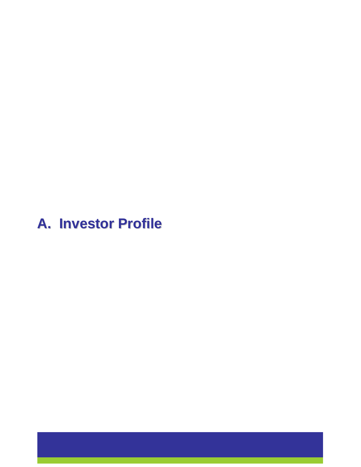# **A. Investor Profile A. Investor Profile**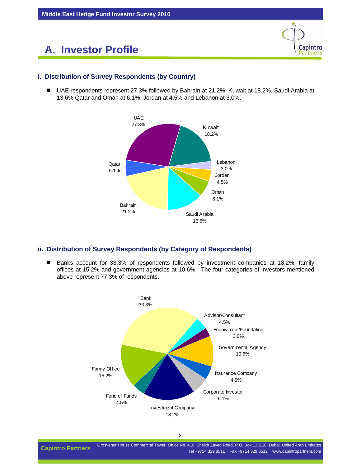

#### **i. Distribution of Survey Respondents (by Country)**

■ UAE respondents represent 27.3% followed by Bahrain at 21.2%, Kuwait at 18.2%, Saudi Arabia at 13.6% Qatar and Oman at 6.1%, Jordan at 4.5% and Lebanon at 3.0%.



#### **ii. Distribution of Survey Respondents (by Category of Respondents)**

■ Banks account for 33.3% of respondents followed by investment companies at 18.2%, family offices at 15.2% and government agencies at 10.6%. The four categories of investors mentioned above represent 77.3% of respondents.

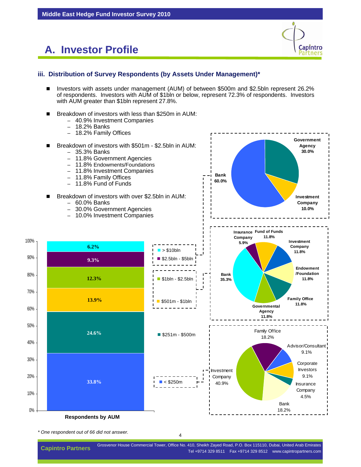

18.2%

#### **iii. Distribution of Survey Respondents (by Assets Under Management)\***

- Investors with assets under management (AUM) of between \$500m and \$2.5bln represent 26.2% of respondents. Investors with AUM of \$1bln or below, represent 72.3% of respondents. Investors with AUM greater than \$1bln represent 27.8%.
- Breakdown of investors with less than \$250m in AUM:
	- 40.9% Investment Companies
	- 18.2% Banks



*\* One respondent out of 66 did not answer.*

**Respondents by AUM**

0%

10%

20%

30%

4

Grosvenor House Commercial Tower, Office No. 410, Sheikh Zayed Road, P.O. Box 115110, Dubai, United Arab Emirates Tel +9714 329 8511 Fax +9714 329 8512 www.capintropartners.com **Capintro Partners**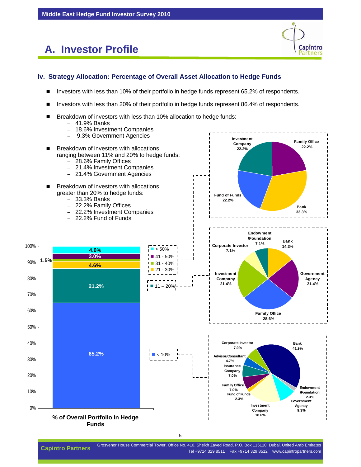

#### **iv. Strategy Allocation: Percentage of Overall Asset Allocation to Hedge Funds**

- Investors with less than 10% of their portfolio in hedge funds represent 65.2% of respondents.
- Investors with less than 20% of their portfolio in hedge funds represent 86.4% of respondents.
- Breakdown of investors with less than 10% allocation to hedge funds:
	- 41.9% Banks
	- 18.6% Investment Companies
	- 9.3% Government Agencies

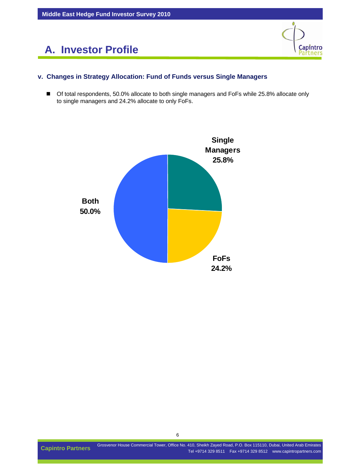



#### **v. Changes in Strategy Allocation: Fund of Funds versus Single Managers**

■ Of total respondents, 50.0% allocate to both single managers and FoFs while 25.8% allocate only to single managers and 24.2% allocate to only FoFs.

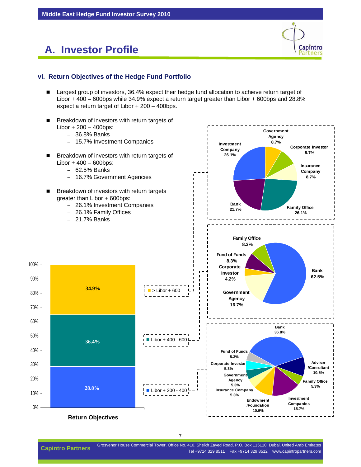

**Government** 

#### **vi. Return Objectives of the Hedge Fund Portfolio**

- Largest group of investors, 36.4% expect their hedge fund allocation to achieve return target of Libor + 400 – 600bps while 34.9% expect a return target greater than Libor + 600bps and 28.8% expect a return target of Libor + 200 – 400bps.
- **Breakdown of investors with return targets of**  $Libor + 200 - 400$ bps:
	- 36.8% Banks
	- 15.7% Investment Companies
- **Breakdown of investors with return targets of**  $Libor + 400 - 600bps$ :
	- 62.5% Banks
	- 16.7% Government Agencies
- Breakdown of investors with return targets greater than Libor + 600bps:
	- 26.1% Investment Companies
	- 26.1% Family Offices

1 **Return Objectives**

**28.8%**

**36.4%**

**34.9%**

– 21.7% Banks

0%

10%

20%

30%

40%

50%

60%

70%

80%

90%

100%



Grosvenor House Commercial Tower, Office No. 410, Sheikh Zayed Road, P.O. Box 115110, Dubai, United Arab Emirates Capintro Partners Gluevenor House Commercial Tower, Office No. 410, Sheikh Zayed Road, P.O. Box 115110, Dubal, Office Nab Emiliates<br>Tel +9714 329 8511 Fax +9714 329 8512 www.capintropartners.com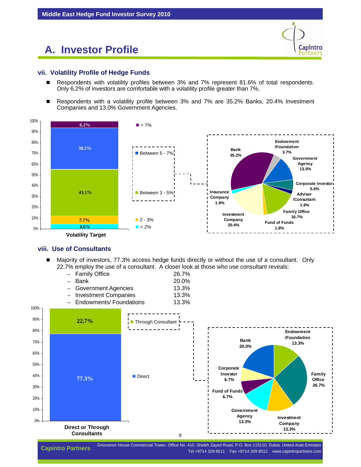

#### **vii. Volatility Profile of Hedge Funds**

- Respondents with volatility profiles between 3% and 7% represent 81.6% of total respondents. Only 6.2% of investors are comfortable with a volatility profile greater than 7%.
- Respondents with a volatility profile between 3% and 7% are 35.2% Banks, 20.4% Investment Companies and 13.0% Government Agencies.



#### **viii. Use of Consultants**

 Majority of investors, 77.3% access hedge funds directly or without the use of a consultant. Only 22.7% employ the use of a consultant. A closer look at those who use consultant reveals:

| - Family Office           | 26.7% |
|---------------------------|-------|
| - Bank                    | 20.0% |
| - Government Agencies     | 13.3% |
| - Investment Companies    | 13.3% |
| - Endowments/ Foundations | 13.3% |



Grosvenor House Commercial Tower, Office No. 410, Sheikh Zayed Road, P.O. Box 115110, Dubai, United Arab Emirates Tel +9714 329 8511 Fax +9714 329 8512 www.capintropartners.com **Capintro Partners**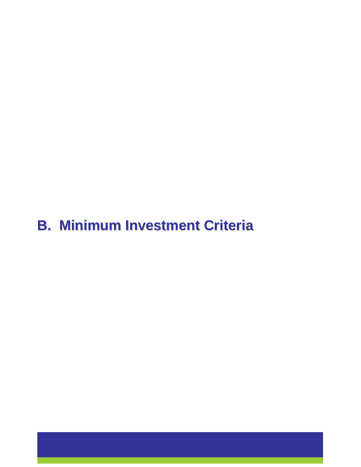# **B. Minimum Investment Criteria B. Minimum Investment Criteria**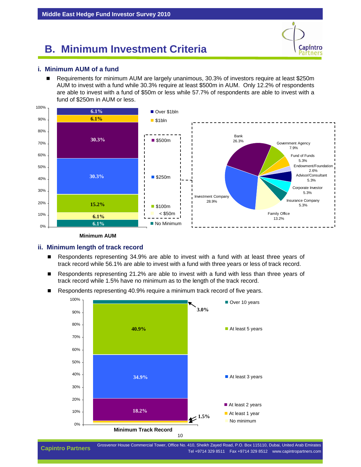# **B. Minimum Investment Criteria**

# Capintro artners

#### **i. Minimum AUM of a fund**

■ Requirements for minimum AUM are largely unanimous, 30.3% of investors require at least \$250m AUM to invest with a fund while 30.3% require at least \$500m in AUM. Only 12.2% of respondents are able to invest with a fund of \$50m or less while 57.7% of respondents are able to invest with a fund of \$250m in AUM or less.



**Minimum AUM**

#### **ii. Minimum length of track record**

- Respondents representing 34.9% are able to invest with a fund with at least three years of track record while 56.1% are able to invest with a fund with three years or less of track record.
- Respondents representing 21.2% are able to invest with a fund with less than three years of track record while 1.5% have no minimum as to the length of the track record.
- Respondents representing 40.9% require a minimum track record of five years.



Grosvenor House Commercial Tower, Office No. 410, Sheikh Zayed Road, P.O. Box 115110, Dubai, United Arab Emirates Capintro Partners Gluevenor House Commercial Tower, Office No. 410, Sheikh Zayed Road, P.O. Box 115110, Dubal, Office Nab Emiliates<br>Tel +9714 329 8511 Fax +9714 329 8512 www.capintropartners.com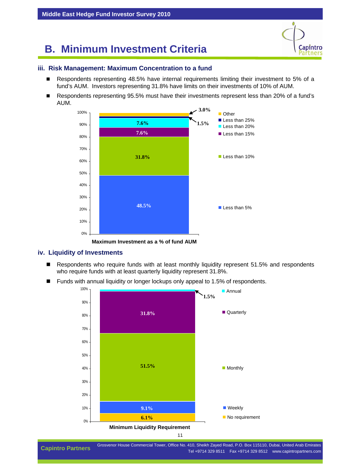## **B. Minimum Investment Criteria**

```
Capintro
artners
```
#### **iii. Risk Management: Maximum Concentration to a fund**

- Respondents representing 48.5% have internal requirements limiting their investment to 5% of a fund's AUM. Investors representing 31.8% have limits on their investments of 10% of AUM.
- Respondents representing 95.5% must have their investments represent less than 20% of a fund's AUM.



**Maximum Investment as a % of fund AUM**

#### **iv. Liquidity of Investments**

- Respondents who require funds with at least monthly liquidity represent 51.5% and respondents who require funds with at least quarterly liquidity represent 31.8%.
- Funds with annual liquidity or longer lockups only appeal to 1.5% of respondents.

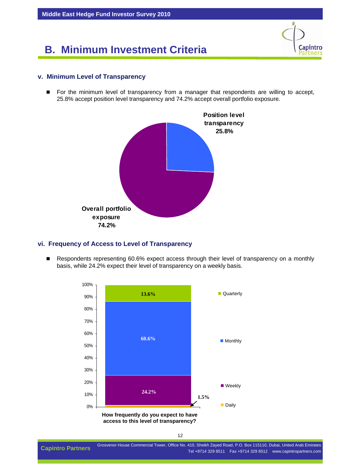# **B. Minimum Investment Criteria**



#### **v. Minimum Level of Transparency**

**For the minimum level of transparency from a manager that respondents are willing to accept,** 25.8% accept position level transparency and 74.2% accept overall portfolio exposure.



#### **vi. Frequency of Access to Level of Transparency**

Respondents representing 60.6% expect access through their level of transparency on a monthly basis, while 24.2% expect their level of transparency on a weekly basis.

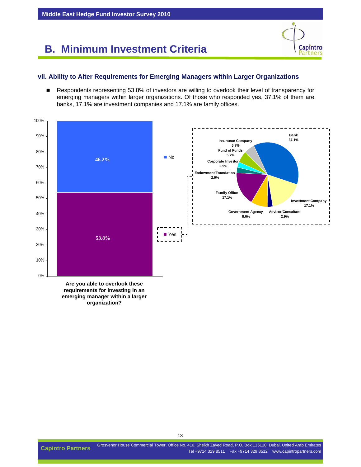Grosvenor House Commercial Tower, Office No. 410, Sheikh Zayed Road, P.O. Box 115110, Dubai, United Arab Emirates Capintro Partners Gluevenor House Commercial Tower, Office No. 410, Sheikh Zayed Road, P.O. Box 115110, Dubal, Office Nab Emiliates<br>Tel +9714 329 8511 Fax +9714 329 8512 www.capintropartners.com

# **B. Minimum Investment Criteria**

#### **vii. Ability to Alter Requirements for Emerging Managers within Larger Organizations**

Respondents representing 53.8% of investors are willing to overlook their level of transparency for emerging managers within larger organizations. Of those who responded yes, 37.1% of them are banks, 17.1% are investment companies and 17.1% are family offices.



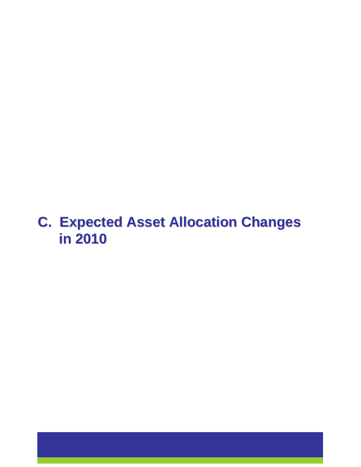# **C. Expected Asset Allocation Changes in 2010 in 2010**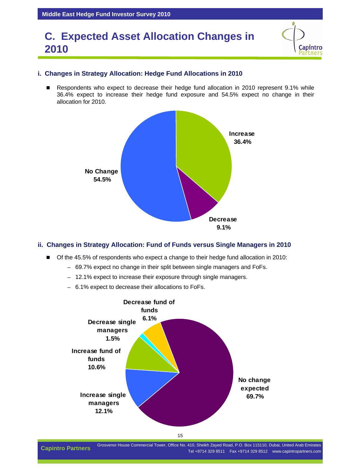## **C. Expected Asset Allocation Changes in 2010**

#### **i. Changes in Strategy Allocation: Hedge Fund Allocations in 2010**

Respondents who expect to decrease their hedge fund allocation in 2010 represent 9.1% while 36.4% expect to increase their hedge fund exposure and 54.5% expect no change in their allocation for 2010.



#### **ii. Changes in Strategy Allocation: Fund of Funds versus Single Managers in 2010**

- Of the 45.5% of respondents who expect a change to their hedge fund allocation in 2010:
	- 69.7% expect no change in their split between single managers and FoFs.
	- 12.1% expect to increase their exposure through single managers.
	- 6.1% expect to decrease their allocations to FoFs.



Grosvenor House Commercial Tower, Office No. 410, Sheikh Zayed Road, P.O. Box 115110, Dubai, United Arab Emirates Capintro Partners Gluevenor House Commercial Tower, Office No. 410, Sheikh Zayed Road, P.O. Box 115110, Dubal, Office Nab Emiliates<br>Tel +9714 329 8511 Fax +9714 329 8512 www.capintropartners.com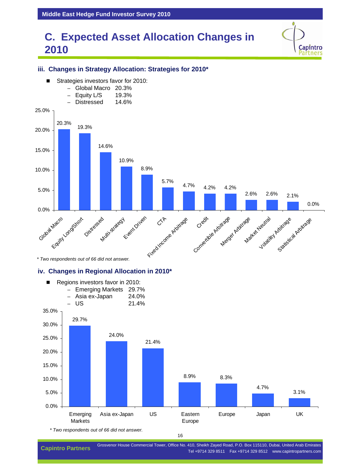# **C. Expected Asset Allocation Changes in 2010**

Capintro artners



#### **iii. Changes in Strategy Allocation: Strategies for 2010\***

*\* Two respondents out of 66 did not answer.*

#### **iv. Changes in Regional Allocation in 2010\***



*\* Two respondents out of 66 did not answer.*

Grosvenor House Commercial Tower, Office No. 410, Sheikh Zayed Road, P.O. Box 115110, Dubai, United Arab Emirates Capintro Partners Confinencial Tower, Office No. 410, Sheikh Zayed Koad, P.O. Box 115110, Dubal, Office Nab Emiliates<br>Tel +9714 329 8511 Fax +9714 329 8512 www.capintropartners.com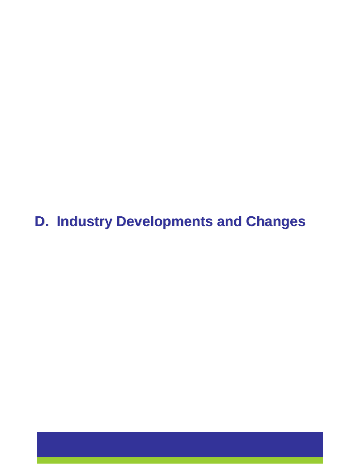**D. Industry Developments and Changes D. Industry Developments and Changes**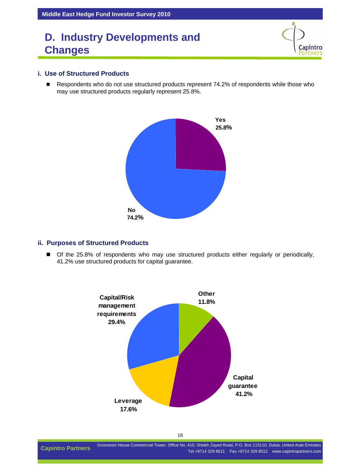```
Capintro
artners
```
#### **i. Use of Structured Products**

Respondents who do not use structured products represent 74.2% of respondents while those who may use structured products regularly represent 25.8%.



#### **ii. Purposes of Structured Products**

 Of the 25.8% of respondents who may use structured products either regularly or periodically, 41.2% use structured products for capital guarantee.

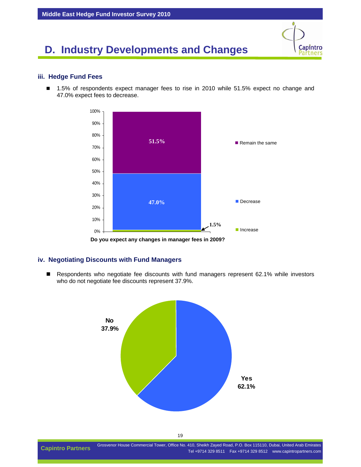#### **iii. Hedge Fund Fees**

■ 1.5% of respondents expect manager fees to rise in 2010 while 51.5% expect no change and 47.0% expect fees to decrease.

Capintro artners



1 **Do you expect any changes in manager fees in 2009?**

#### **iv. Negotiating Discounts with Fund Managers**

Respondents who negotiate fee discounts with fund managers represent 62.1% while investors who do not negotiate fee discounts represent 37.9%.



Grosvenor House Commercial Tower, Office No. 410, Sheikh Zayed Road, P.O. Box 115110, Dubai, United Arab Emirates Capintro Partners Gluevenor House Commercial Tower, Office No. 410, Sheikh Zayed Road, P.O. Box 115110, Dubal, Office Nab Emiliates<br>Tel +9714 329 8511 Fax +9714 329 8512 www.capintropartners.com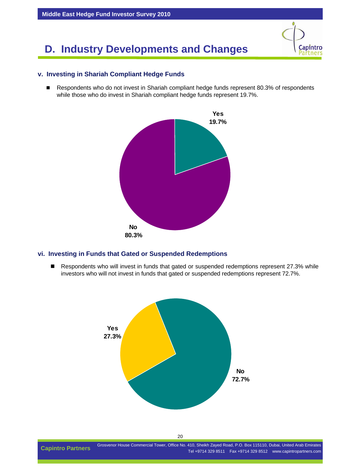#### **v. Investing in Shariah Compliant Hedge Funds**

Respondents who do not invest in Shariah compliant hedge funds represent 80.3% of respondents while those who do invest in Shariah compliant hedge funds represent 19.7%.

Capintro artners



#### **vi. Investing in Funds that Gated or Suspended Redemptions**

Respondents who will invest in funds that gated or suspended redemptions represent 27.3% while investors who will not invest in funds that gated or suspended redemptions represent 72.7%.



Grosvenor House Commercial Tower, Office No. 410, Sheikh Zayed Road, P.O. Box 115110, Dubai, United Arab Emirates Capintro Partners Gluevenor House Commercial Tower, Office No. 410, Sheikh Zayed Road, P.O. Box 115110, Dubal, Office Nab Emiliates<br>Tel +9714 329 8511 Fax +9714 329 8512 www.capintropartners.com

20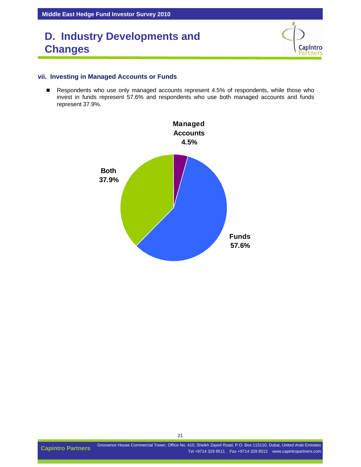```
Capintro
artners
```
#### **vii. Investing in Managed Accounts or Funds**

Respondents who use only managed accounts represent 4.5% of respondents, while those who invest in funds represent 57.6% and respondents who use both managed accounts and funds represent 37.9%.

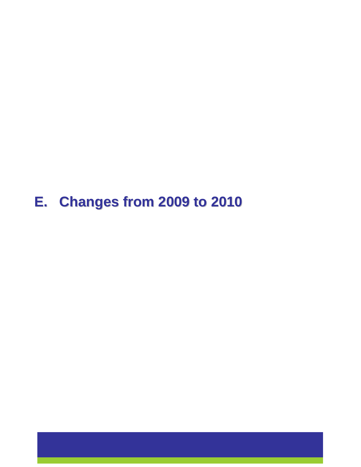# **E. Changes from 2009 to 2010 E. Changes from 2009 to 2010**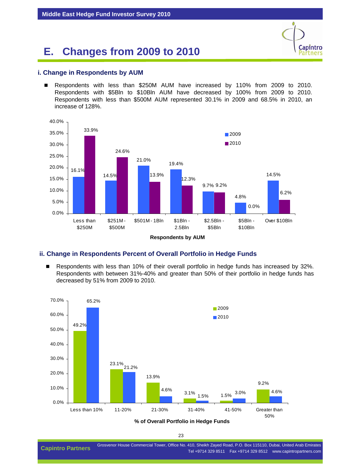

 Respondents with less than \$250M AUM have increased by 110% from 2009 to 2010. Respondents with \$5Bln to \$10Bln AUM have decreased by 100% from 2009 to 2010. Respondents with less than \$500M AUM represented 30.1% in 2009 and 68.5% in 2010, an increase of 128%.

Capintro artners



#### **ii. Change in Respondents Percent of Overall Portfolio in Hedge Funds**

Respondents with less than 10% of their overall portfolio in hedge funds has increased by 32%. Respondents with between 31%-40% and greater than 50% of their portfolio in hedge funds has decreased by 51% from 2009 to 2010.



**% of Overall Portfolio in Hedge Funds**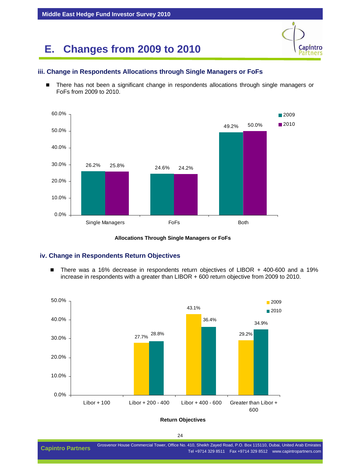

#### **iii. Change in Respondents Allocations through Single Managers or FoFs**

There has not been a significant change in respondents allocations through single managers or FoFs from 2009 to 2010.





#### **iv. Change in Respondents Return Objectives**

■ There was a 16% decrease in respondents return objectives of LIBOR + 400-600 and a 19% increase in respondents with a greater than LIBOR + 600 return objective from 2009 to 2010.



**Return Objectives**

24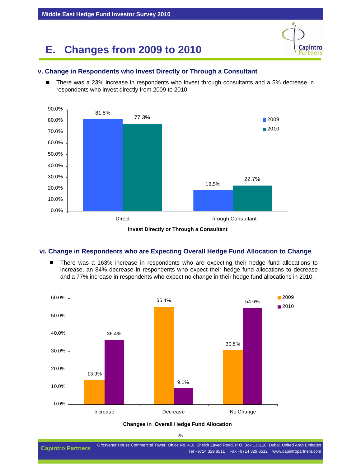

#### **v. Change in Respondents who Invest Directly or Through a Consultant**

 There was a 23% increase in respondents who invest through consultants and a 5% decrease in respondents who invest directly from 2009 to 2010.





#### **vi. Change in Respondents who are Expecting Overall Hedge Fund Allocation to Change**

■ There was a 163% increase in respondents who are expecting their hedge fund allocations to increase, an 84% decrease in respondents who expect their hedge fund allocations to decrease and a 77% increase in respondents who expect no change in their hedge fund allocations in 2010.



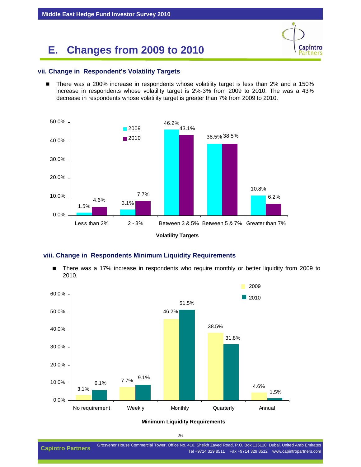# Capintro artners

#### **vii. Change in Respondent's Volatility Targets**

■ There was a 200% increase in respondents whose volatility target is less than 2% and a 150% increase in respondents whose volatility target is 2%-3% from 2009 to 2010. The was a 43% decrease in respondents whose volatility target is greater than 7% from 2009 to 2010.



#### **viii. Change in Respondents Minimum Liquidity Requirements**

■ There was a 17% increase in respondents who require monthly or better liquidity from 2009 to 2010.



#### **Minimum Liquidity Requirements**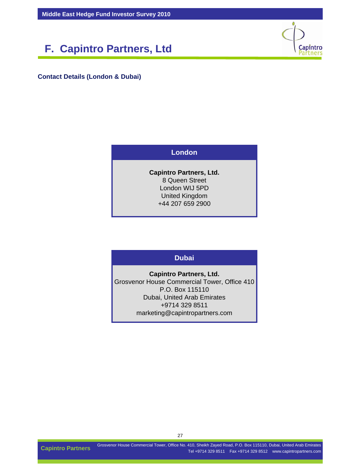### **F. Capintro Partners, Ltd**



**Contact Details (London & Dubai)**

#### **London**

**Capintro Partners, Ltd.** 8 Queen Street London WIJ 5PD United Kingdom +44 207 659 2900

#### **Dubai**

**Capintro Partners, Ltd.** Grosvenor House Commercial Tower, Office 410 P.O. Box 115110 Dubai, United Arab Emirates +9714 329 8511 marketing@capintropartners.com